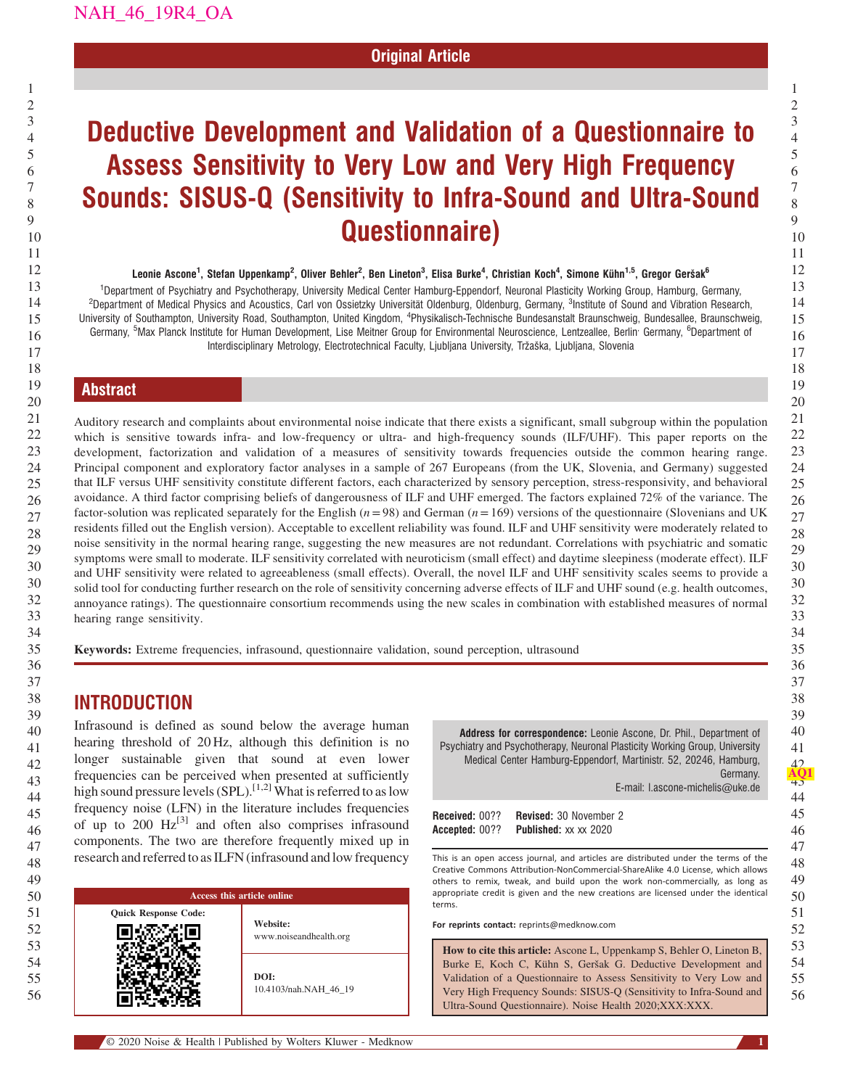## Original Article

# Deductive Development and Validation of a Questionnaire to Assess Sensitivity to Very Low and Very High Frequency Sounds: SISUS-Q (Sensitivity to Infra-Sound and Ultra-Sound Questionnaire)

#### Leonie Ascone<sup>1</sup>, Stefan Uppenkamp<sup>2</sup>, Oliver Behler<sup>2</sup>, Ben Lineton<sup>3</sup>, Elisa Burke<sup>4</sup>, Christian Koch<sup>4</sup>, Simone Kühn<sup>1,5</sup>, Gregor Geršak<sup>6</sup>

<sup>1</sup>Department of Psychiatry and Psychotherapy, University Medical Center Hamburg-Eppendorf, Neuronal Plasticity Working Group, Hamburg, Germany, <sup>2</sup>Department of Medical Physics and Acoustics, Carl von Ossietzky Universität Oldenburg, Oldenburg, Germany, <sup>3</sup>Institute of Sound and Vibration Research, University of Southampton, University Road, Southampton, United Kingdom, <sup>4</sup>Physikalisch-Technische Bundesanstalt Braunschweig, Bundesallee, Braunschweig, Germany, <sup>5</sup>Max Planck Institute for Human Development, Lise Meitner Group for Environmental Neuroscience, Lentzeallee, Berlin<sup>,</sup> Germany, <sup>6</sup>Department of Interdisciplinary Metrology, Electrotechnical Faculty, Ljubljana University, Tržaška, Ljubljana, Slovenia

## Abstract

Auditory research and complaints about environmental noise indicate that there exists a significant, small subgroup within the population which is sensitive towards infra- and low-frequency or ultra- and high-frequency sounds (ILF/UHF). This paper reports on the development, factorization and validation of a measures of sensitivity towards frequencies outside the common hearing range. Principal component and exploratory factor analyses in a sample of 267 Europeans (from the UK, Slovenia, and Germany) suggested that ILF versus UHF sensitivity constitute different factors, each characterized by sensory perception, stress-responsivity, and behavioral avoidance. A third factor comprising beliefs of dangerousness of ILF and UHF emerged. The factors explained 72% of the variance. The factor-solution was replicated separately for the English ( $n = 98$ ) and German ( $n = 169$ ) versions of the questionnaire (Slovenians and UK residents filled out the English version). Acceptable to excellent reliability was found. ILF and UHF sensitivity were moderately related to noise sensitivity in the normal hearing range, suggesting the new measures are not redundant. Correlations with psychiatric and somatic symptoms were small to moderate. ILF sensitivity correlated with neuroticism (small effect) and daytime sleepiness (moderate effect). ILF and UHF sensitivity were related to agreeableness (small effects). Overall, the novel ILF and UHF sensitivity scales seems to provide a solid tool for conducting further research on the role of sensitivity concerning adverse effects of ILF and UHF sound (e.g. health outcomes, annoyance ratings). The questionnaire consortium recommends using the new scales in combination with established measures of normal hearing range sensitivity.

Keywords: Extreme frequencies, infrasound, questionnaire validation, sound perception, ultrasound

## INTRODUCTION

Infrasound is defined as sound below the average human hearing threshold of 20 Hz, although this definition is no longer sustainable given that sound at even lower frequencies can be perceived when presented at sufficiently high sound pressure levels (SPL).<sup>[1,2]</sup> What is referred to as low frequency noise (LFN) in the literature includes frequencies of up to 200  $Hz^{[3]}$  [and often also comprises infrasound](#page-8-0) components. The two are therefore frequently mixed up in research and referred to as ILFN (infrasound and low frequency

| Access this article online  |                                    |
|-----------------------------|------------------------------------|
| <b>Quick Response Code:</b> | Website:<br>www.noiseandhealth.org |
|                             | DOI:<br>10.4103/nah.NAH_46_19      |

Address for correspondence: Leonie Ascone, Dr. Phil., Department of Psychiatry and Psychotherapy, Neuronal Plasticity Working Group, University Medical Center Hamburg-Eppendorf, Martinistr. 52, 20246, Hamburg, Germany.

E-mail: [l.ascone-michelis@uke.de](mailto:l.ascone-michelis@uke.de)

Received: 00?? Revised: 30 November 2 Accepted: 00?? Published: xx xx 2020

This is an open access journal, and articles are distributed under the terms of the Creative Commons Attribution-NonCommercial-ShareAlike 4.0 License, which allows others to remix, tweak, and build upon the work non-commercially, as long as appropriate credit is given and the new creations are licensed under the identical terms.

For reprints contact: reprints@medknow.com

How to cite this article: Ascone L, Uppenkamp S, Behler O, Lineton B, Burke E, Koch C, Kühn S, Geršak G. Deductive Development and Validation of a Questionnaire to Assess Sensitivity to Very Low and Very High Frequency Sounds: SISUS-Q (Sensitivity to Infra-Sound and Ultra-Sound Questionnaire). Noise Health 2020;XXX:XXX.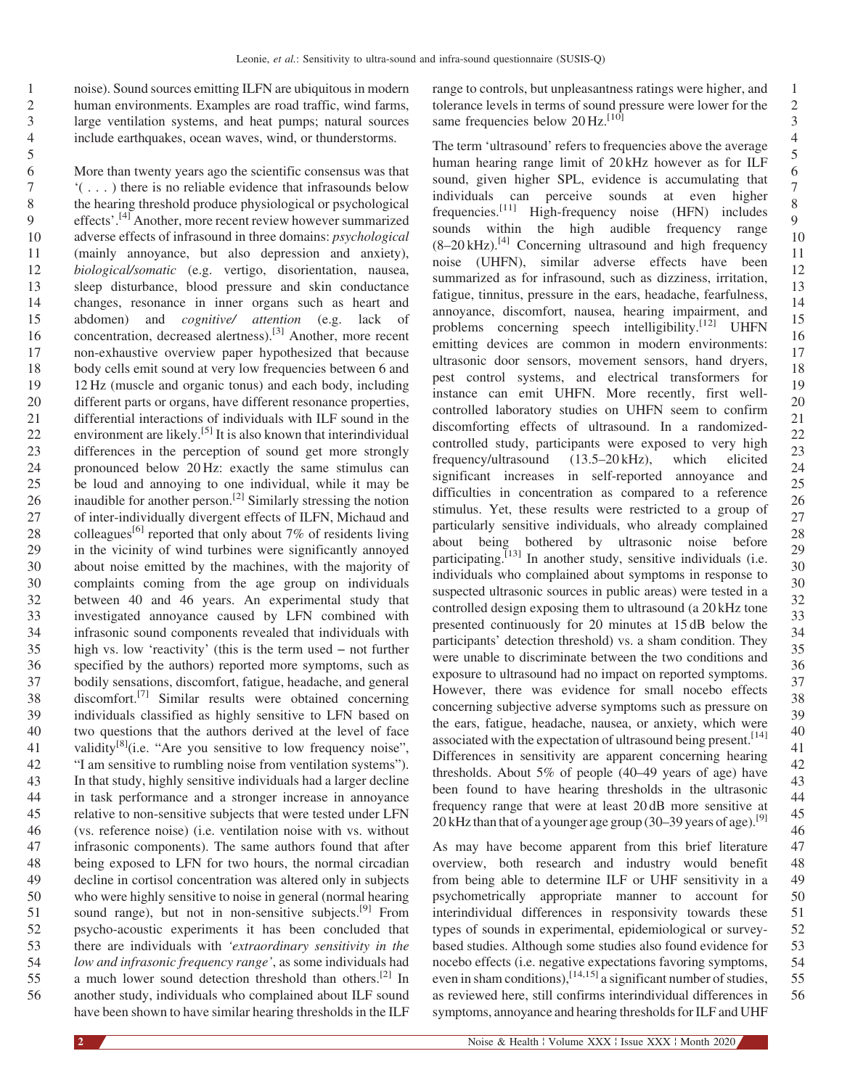1 2

noise). Sound sources emitting ILFN are ubiquitous in modern human environments. Examples are road traffic, wind farms, large ventilation systems, and heat pumps; natural sources include earthquakes, ocean waves, wind, or thunderstorms.

6 7 8 9 10 11 12 13 14 15 16 17 18 19 20 21 22 23 24 25 26 27 28 29 30 30 32 33 34 35 36 37 38 39 40 41 42 43 44 45 46 47 48 49 50 51 52 53 54 55 56 More than twenty years ago the scientific consensus was that '(...) there is no reliable evidence that infrasounds below the hearing threshold produce physiological or psychological effects'. [4] [Another, more recent review however summarized](#page-8-0) adverse effects of infrasound in three domains: psychological (mainly annoyance, but also depression and anxiety), biological/somatic (e.g. vertigo, disorientation, nausea, sleep disturbance, blood pressure and skin conductance changes, resonance in inner organs such as heart and abdomen) and cognitive/ attention (e.g. lack of concentration, decreased alertness).<sup>[3]</sup> [Another, more recent](#page-8-0) non-exhaustive overview paper hypothesized that because body cells emit sound at very low frequencies between 6 and 12 Hz (muscle and organic tonus) and each body, including different parts or organs, have different resonance properties, differential interactions of individuals with ILF sound in the environment are likely.<sup>[5]</sup> [It is also known that interindividual](#page-8-0) differences in the perception of sound get more strongly pronounced below 20 Hz: exactly the same stimulus can be loud and annoying to one individual, while it may be inaudible for another person.[2] [Similarly stressing the notion](#page-8-0) of inter-individually divergent effects of ILFN, Michaud and colleagues<sup>[6]</sup> [reported that only about 7% of residents living](#page-8-0) in the vicinity of wind turbines were significantly annoyed about noise emitted by the machines, with the majority of complaints coming from the age group on individuals between 40 and 46 years. An experimental study that investigated annoyance caused by LFN combined with infrasonic sound components revealed that individuals with between 40 and 46 years. An experimental study that<br>investigated annoyance caused by LFN combined with<br>infrasonic sound components revealed that individuals with<br>high vs. low 'reactivity' (this is the term used – not furt specified by the authors) reported more symptoms, such as bodily sensations, discomfort, fatigue, headache, and general discomfort.[7] [Similar results were obtained concerning](#page-8-0) individuals classified as highly sensitive to LFN based on two questions that the authors derived at the level of face validity $^{[8]}$ (i.e. "[Are you sensitive to low frequency noise](#page-8-0)", "I am sensitive to rumbling noise from ventilation systems"). In that study, highly sensitive individuals had a larger decline in task performance and a stronger increase in annoyance relative to non-sensitive subjects that were tested under LFN (vs. reference noise) (i.e. ventilation noise with vs. without infrasonic components). The same authors found that after being exposed to LFN for two hours, the normal circadian decline in cortisol concentration was altered only in subjects who were highly sensitive to noise in general (normal hearing sound range), but not in non-sensitive subjects.<sup>[9]</sup> [From](#page-8-0) psycho-acoustic experiments it has been concluded that there are individuals with 'extraordinary sensitivity in the low and infrasonic frequency range', as some individuals had a much lower sound detection threshold than others.<sup>[2]</sup> In another study, individuals who complained about ILF sound have been shown to have similar hearing thresholds in the ILF

range to controls, but unpleasantness ratings were higher, and tolerance levels in terms of sound pressure were lower for the same frequencies below  $20 \text{ Hz}$ .<sup>[\[10\]](#page-8-0)</sup>

The term 'ultrasound' refers to frequencies above the average human hearing range limit of 20 kHz however as for ILF sound, given higher SPL, evidence is accumulating that individuals can perceive sounds at even higher frequencies.[11] [High-frequency noise \(HFN\) includes](#page-8-0) sounds within the high audible frequency range  $(8-20 \text{ kHz})$ .<sup>[4]</sup> [Concerning ultrasound and high frequency](#page-8-0) noise (UHFN), similar adverse effects have been summarized as for infrasound, such as dizziness, irritation, fatigue, tinnitus, pressure in the ears, headache, fearfulness, annoyance, discomfort, nausea, hearing impairment, and problems concerning speech intelligibility.<sup>[12]</sup> [UHFN](#page-8-0) emitting devices are common in modern environments: ultrasonic door sensors, movement sensors, hand dryers, pest control systems, and electrical transformers for instance can emit UHFN. More recently, first wellcontrolled laboratory studies on UHFN seem to confirm discomforting effects of ultrasound. In a randomizedcontrolled study, participants were exposed to very high frequency/ultrasound (13.5–20 kHz), which elicited significant increases in self-reported annoyance and difficulties in concentration as compared to a reference stimulus. Yet, these results were restricted to a group of particularly sensitive individuals, who already complained about being bothered by ultrasonic noise before participating.<sup> $[13]$ </sup> [In another study, sensitive individuals \(i.e.](#page-8-0) individuals who complained about symptoms in response to suspected ultrasonic sources in public areas) were tested in a controlled design exposing them to ultrasound (a 20 kHz tone presented continuously for 20 minutes at 15 dB below the participants' detection threshold) vs. a sham condition. They were unable to discriminate between the two conditions and exposure to ultrasound had no impact on reported symptoms. However, there was evidence for small nocebo effects concerning subjective adverse symptoms such as pressure on the ears, fatigue, headache, nausea, or anxiety, which were associated with the expectation of ultrasound being present.<sup>[14]</sup> Differences in sensitivity are apparent concerning hearing thresholds. About 5% of people (40–49 years of age) have been found to have hearing thresholds in the ultrasonic frequency range that were at least 20 dB more sensitive at 20 kHz than that of a younger age group (30–39 years of age).<sup>[\[9\]](#page-8-0)</sup>

49 50 51 52 53 54 55 56 As may have become apparent from this brief literature overview, both research and industry would benefit from being able to determine ILF or UHF sensitivity in a psychometrically appropriate manner to account for interindividual differences in responsivity towards these types of sounds in experimental, epidemiological or surveybased studies. Although some studies also found evidence for nocebo effects (i.e. negative expectations favoring symptoms, even in sham conditions),  $^{[14,15]}$  [a significant number of studies,](#page-8-0) as reviewed here, still confirms interindividual differences in symptoms, annoyance and hearing thresholds for ILF and UHF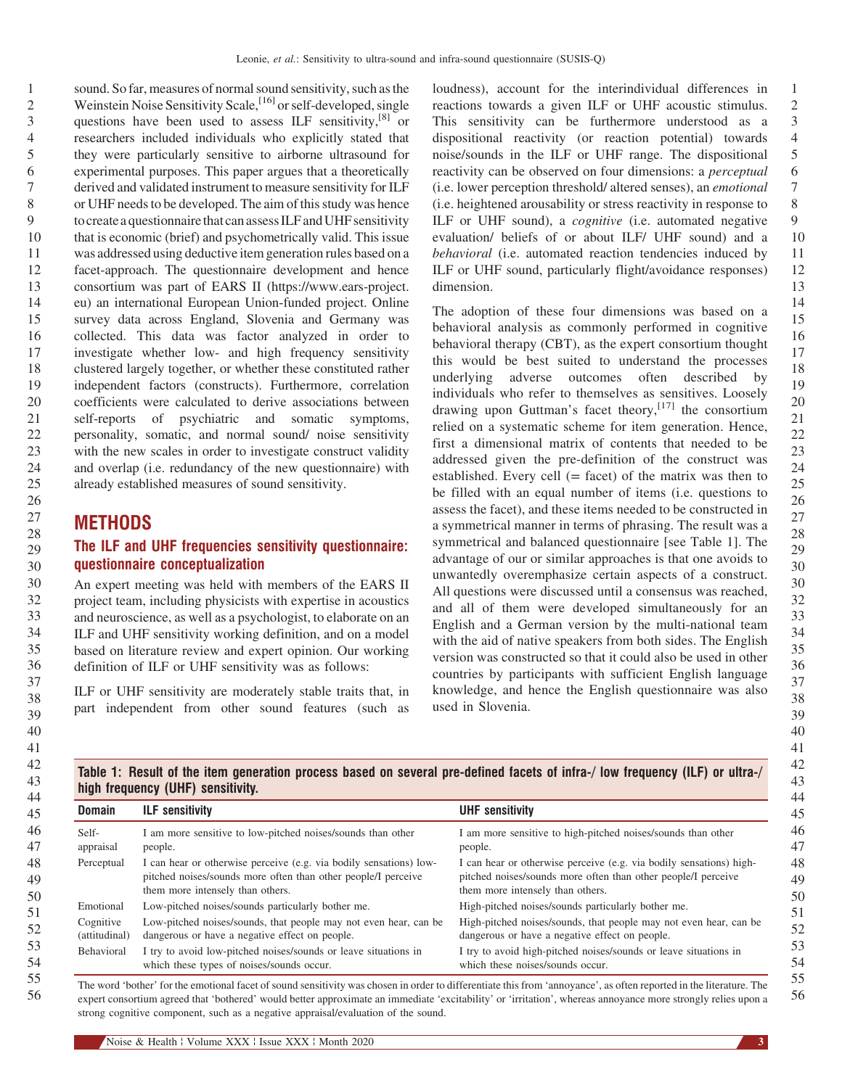9 10 11 12 13 14 15 16 17 18 19 20 21 22 23 24 25 26 sound. So far, measures of normal sound sensitivity, such as the Weinstein Noise Sensitivity Scale,<sup>[16]</sup> [or self-developed, single](#page-8-0) questions have been used to assess ILF sensitivity,<sup>[8]</sup> or researchers included individuals who explicitly stated that they were particularly sensitive to airborne ultrasound for experimental purposes. This paper argues that a theoretically derived and validated instrument to measure sensitivity for ILF or UHF needs to be developed. The aim of this study was hence to create a questionnaire that can assess ILF and UHF sensitivity that is economic (brief) and psychometrically valid. This issue was addressed using deductive item generation rules based on a facet-approach. The questionnaire development and hence consortium was part of EARS II (https://www.ears-project. eu) an international European Union-funded project. Online survey data across England, Slovenia and Germany was collected. This data was factor analyzed in order to investigate whether low- and high frequency sensitivity clustered largely together, or whether these constituted rather independent factors (constructs). Furthermore, correlation coefficients were calculated to derive associations between self-reports of psychiatric and somatic symptoms, personality, somatic, and normal sound/ noise sensitivity with the new scales in order to investigate construct validity and overlap (i.e. redundancy of the new questionnaire) with already established measures of sound sensitivity.

## **METHODS**

27

## The ILF and UHF frequencies sensitivity questionnaire: questionnaire conceptualization

An expert meeting was held with members of the EARS II project team, including physicists with expertise in acoustics and neuroscience, as well as a psychologist, to elaborate on an ILF and UHF sensitivity working definition, and on a model based on literature review and expert opinion. Our working definition of ILF or UHF sensitivity was as follows:

ILF or UHF sensitivity are moderately stable traits that, in part independent from other sound features (such as

1 2 3 4 5 6 7 8 9 10 11 12 13 loudness), account for the interindividual differences in reactions towards a given ILF or UHF acoustic stimulus. This sensitivity can be furthermore understood as a dispositional reactivity (or reaction potential) towards noise/sounds in the ILF or UHF range. The dispositional reactivity can be observed on four dimensions: a perceptual (i.e. lower perception threshold/ altered senses), an emotional (i.e. heightened arousability or stress reactivity in response to ILF or UHF sound), a cognitive (i.e. automated negative evaluation/ beliefs of or about ILF/ UHF sound) and a behavioral (i.e. automated reaction tendencies induced by ILF or UHF sound, particularly flight/avoidance responses) dimension.

The adoption of these four dimensions was based on a behavioral analysis as commonly performed in cognitive behavioral therapy (CBT), as the expert consortium thought this would be best suited to understand the processes underlying adverse outcomes often described by individuals who refer to themselves as sensitives. Loosely drawing upon Guttman's facet theory,  $[17]$  [the consortium](#page-8-0) relied on a systematic scheme for item generation. Hence, first a dimensional matrix of contents that needed to be addressed given the pre-definition of the construct was established. Every cell  $(=$  facet) of the matrix was then to be filled with an equal number of items (i.e. questions to assess the facet), and these items needed to be constructed in a symmetrical manner in terms of phrasing. The result was a symmetrical and balanced questionnaire [see Table 1]. The advantage of our or similar approaches is that one avoids to unwantedly overemphasize certain aspects of a construct. All questions were discussed until a consensus was reached, and all of them were developed simultaneously for an English and a German version by the multi-national team with the aid of native speakers from both sides. The English version was constructed so that it could also be used in other countries by participants with sufficient English language knowledge, and hence the English questionnaire was also used in Slovenia.

|                            | high frequency (UHF) sensitivity.                                                                                                                                       |                                                                                                                                                                          |
|----------------------------|-------------------------------------------------------------------------------------------------------------------------------------------------------------------------|--------------------------------------------------------------------------------------------------------------------------------------------------------------------------|
| <b>Domain</b>              | <b>ILF</b> sensitivity                                                                                                                                                  | <b>UHF</b> sensitivity                                                                                                                                                   |
| Self-<br>appraisal         | I am more sensitive to low-pitched noises/sounds than other<br>people.                                                                                                  | I am more sensitive to high-pitched noises/sounds than other<br>people.                                                                                                  |
| Perceptual                 | I can hear or otherwise perceive (e.g. via bodily sensations) low-<br>pitched noises/sounds more often than other people/I perceive<br>them more intensely than others. | I can hear or otherwise perceive (e.g. via bodily sensations) high-<br>pitched noises/sounds more often than other people/I perceive<br>them more intensely than others. |
| Emotional                  | Low-pitched noises/sounds particularly bother me.                                                                                                                       | High-pitched noises/sounds particularly bother me.                                                                                                                       |
| Cognitive<br>(attitudinal) | Low-pitched noises/sounds, that people may not even hear, can be<br>dangerous or have a negative effect on people.                                                      | High-pitched noises/sounds, that people may not even hear, can be<br>dangerous or have a negative effect on people.                                                      |
| Behavioral                 | I try to avoid low-pitched noises/sounds or leave situations in<br>which these types of noises/sounds occur.                                                            | I try to avoid high-pitched noises/sounds or leave situations in<br>which these noises/sounds occur.                                                                     |

The word 'bother' for the emotional facet of sound sensitivity was chosen in order to differentiate this from 'annoyance', as often reported in the literature. The expert consortium agreed that 'bothered' would better approximate an immediate 'excitability' or 'irritation', whereas annoyance more strongly relies upon a strong cognitive component, such as a negative appraisal/evaluation of the sound.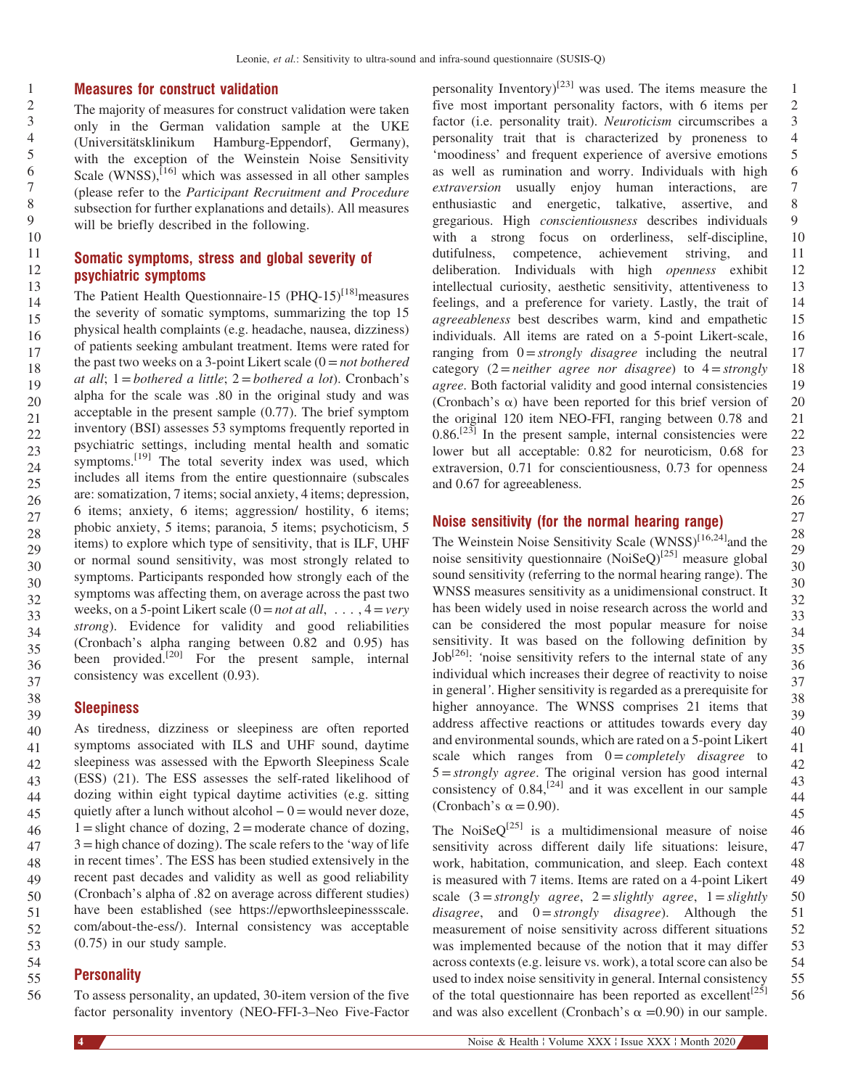#### Measures for construct validation

The majority of measures for construct validation were taken only in the German validation sample at the UKE (Universitätsklinikum Hamburg-Eppendorf, Germany), with the exception of the Weinstein Noise Sensitivity Scale (WNSS), $^{[16]}$  [which was assessed in all other samples](#page-8-0) (please refer to the Participant Recruitment and Procedure subsection for further explanations and details). All measures will be briefly described in the following.

## Somatic symptoms, stress and global severity of psychiatric symptoms

The Patient Health Questionnaire-15 (PHQ-15)<sup>[18]</sup> measures the severity of somatic symptoms, summarizing the top 15 physical health complaints (e.g. headache, nausea, dizziness) of patients seeking ambulant treatment. Items were rated for the past two weeks on a 3-point Likert scale  $(0 = not \, bottleneck)$ at all;  $1 =$ bothered a little;  $2 =$ bothered a lot). Cronbach's alpha for the scale was .80 in the original study and was acceptable in the present sample (0.77). The brief symptom inventory (BSI) assesses 53 symptoms frequently reported in psychiatric settings, including mental health and somatic symptoms.<sup>[19]</sup> [The total severity index was used, which](#page-8-0) includes all items from the entire questionnaire (subscales are: somatization, 7 items; social anxiety, 4 items; depression, 6 items; anxiety, 6 items; aggression/ hostility, 6 items; phobic anxiety, 5 items; paranoia, 5 items; psychoticism, 5 items) to explore which type of sensitivity, that is ILF, UHF or normal sound sensitivity, was most strongly related to symptoms. Participants responded how strongly each of the symptoms was affecting them, on average across the past two weeks, on a 5-point Likert scale  $(0 = not at all, \ldots, 4 = very$ strong). Evidence for validity and good reliabilities (Cronbach's alpha ranging between 0.82 and 0.95) has been provided.<sup>[20]</sup> [For the present sample, internal](#page-8-0) consistency was excellent (0.93).

## **Sleepiness**

40 41 42 43 44 45 46 47 48 49 50 51 52 53 As tiredness, dizziness or sleepiness are often reported symptoms associated with ILS and UHF sound, daytime sleepiness was assessed with the Epworth Sleepiness Scale (ESS) (21). The ESS assesses the self-rated likelihood of dozing within eight typical daytime activities (e.g. sitting sleepiness was assessed with the Epworth Sleepiness Scale (ESS) (21). The ESS assesses the self-rated likelihood of dozing within eight typical daytime activities (e.g. sitting quietly after a lunch without alcohol – 0= wo  $1 =$ slight chance of dozing,  $2 =$  moderate chance of dozing,  $3 =$ high chance of dozing). The scale refers to the 'way of life in recent times'. The ESS has been studied extensively in the recent past decades and validity as well as good reliability (Cronbach's alpha of .82 on average across different studies) have been established (see https://epworthsleepinessscale. com/about-the-ess/). Internal consistency was acceptable (0.75) in our study sample.

#### 54 55 **Personality**

To assess personality, an updated, 30-item version of the five factor personality inventory (NEO-FFI-3–Neo Five-Factor

1 2 3 4 5 6 7 8 9 10 11 12 13 14 15 16 17 18 19 20 21 22 23 24 25 personality Inventory)<sup>[23]</sup> [was used. The items measure the](#page-8-0) five most important personality factors, with 6 items per factor (i.e. personality trait). Neuroticism circumscribes a personality trait that is characterized by proneness to 'moodiness' and frequent experience of aversive emotions as well as rumination and worry. Individuals with high extraversion usually enjoy human interactions, are enthusiastic and energetic, talkative, assertive, and gregarious. High conscientiousness describes individuals with a strong focus on orderliness, self-discipline, dutifulness, competence, achievement striving, and deliberation. Individuals with high openness exhibit intellectual curiosity, aesthetic sensitivity, attentiveness to feelings, and a preference for variety. Lastly, the trait of agreeableness best describes warm, kind and empathetic individuals. All items are rated on a 5-point Likert-scale, ranging from  $0 =$ strongly disagree including the neutral category  $(2=neither \ agree \ nor \ disagree)$  to  $4=strongly$ agree. Both factorial validity and good internal consistencies (Cronbach's  $\alpha$ ) have been reported for this brief version of the original 120 item NEO-FFI, ranging between 0.78 and  $0.86$ <sup>[23]</sup> [In the present sample, internal consistencies were](#page-8-0) lower but all acceptable: 0.82 for neuroticism, 0.68 for extraversion, 0.71 for conscientiousness, 0.73 for openness and 0.67 for agreeableness.

## Noise sensitivity (for the normal hearing range)

The Weinstein Noise Sensitivity Scale  $(WNSS)^{[16,24]}$  and the noise sensitivity questionnaire (NoiSeO)<sup>[25]</sup> [measure global](#page-8-0) sound sensitivity (referring to the normal hearing range). The WNSS measures sensitivity as a unidimensional construct. It has been widely used in noise research across the world and can be considered the most popular measure for noise sensitivity. It was based on the following definition by  $Job^{[26]}$ : '[noise sensitivity refers to the internal state of any](#page-9-0) individual which increases their degree of reactivity to noise in general'. Higher sensitivity is regarded as a prerequisite for higher annoyance. The WNSS comprises 21 items that address affective reactions or attitudes towards every day and environmental sounds, which are rated on a 5-point Likert scale which ranges from  $0 = completely$  disagree to  $5 =$ strongly agree. The original version has good internal consistency of  $0.84$ ,  $[24]$  [and it was excellent in our sample](#page-8-0) (Cronbach's  $\alpha = 0.90$ ).

46 47 48 49 50 51 52 53 54 55 56 The NoiSe $Q^{[25]}$  [is a multidimensional measure of noise](#page-8-0) sensitivity across different daily life situations: leisure, work, habitation, communication, and sleep. Each context is measured with 7 items. Items are rated on a 4-point Likert scale  $(3 = strongly \ agree, 2 = slightly \ agree, 1 = slightly$ disagree, and  $0 =$ strongly disagree). Although the measurement of noise sensitivity across different situations was implemented because of the notion that it may differ across contexts (e.g. leisure vs. work), a total score can also be used to index noise sensitivity in general. Internal consistency of the total questionnaire has been reported as excellent<sup>[\[25\]](#page-8-0)</sup> and was also excellent (Cronbach's  $\alpha = 0.90$ ) in our sample.

1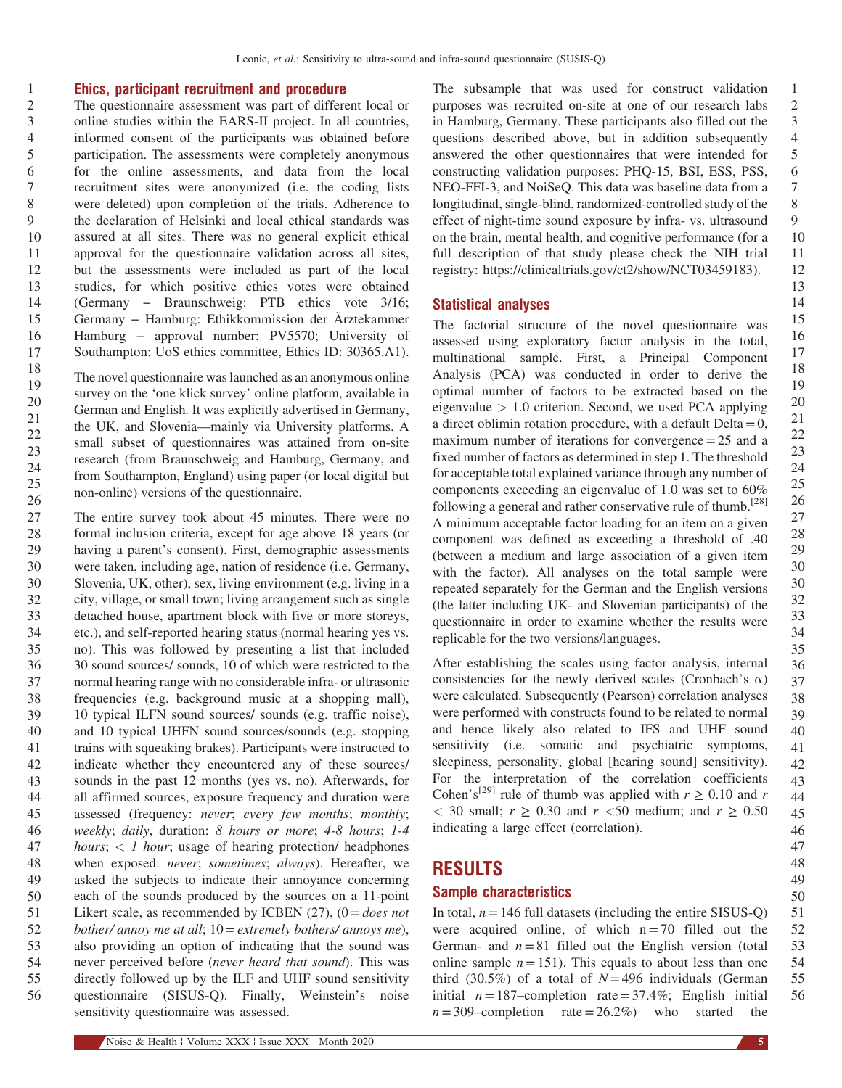#### Ehics, participant recruitment and procedure

The questionnaire assessment was part of different local or online studies within the EARS-II project. In all countries, informed consent of the participants was obtained before participation. The assessments were completely anonymous for the online assessments, and data from the local recruitment sites were anonymized (i.e. the coding lists were deleted) upon completion of the trials. Adherence to the declaration of Helsinki and local ethical standards was assured at all sites. There was no general explicit ethical approval for the questionnaire validation across all sites, but the assessments were included as part of the local studies, for which positive ethics votes were obtained approval for the questionnaire validation across all sites,<br>but the assessments were included as part of the local<br>studies, for which positive ethics votes were obtained<br>(Germany – Braunschweig: PTB ethics vote 3/16; but the assessments were included as part of the local studies, for which positive ethics votes were obtained (Germany – Braunschweig: PTB ethics vote 3/16; Germany – Hamburg: Ethikkommission der Ärztekammer studies, for which positive ethics votes were obtained<br>(Germany − Braunschweig: PTB ethics vote 3/16;<br>Germany − Hamburg: Ethikkommission der Ärztekammer<br>Hamburg − approval number: PV5570; University of Southampton: UoS ethics committee, Ethics ID: 30365.A1).

The novel questionnaire was launched as an anonymous online survey on the 'one klick survey' online platform, available in German and English. It was explicitly advertised in Germany, the UK, and Slovenia—mainly via University platforms. A small subset of questionnaires was attained from on-site research (from Braunschweig and Hamburg, Germany, and from Southampton, England) using paper (or local digital but non-online) versions of the questionnaire.

27 28 29 30 30 32 33 34 35 36 37 38 39 40 41 42 43 44 45 46 47 48 49 50 51 52 53 54 55 56 The entire survey took about 45 minutes. There were no formal inclusion criteria, except for age above 18 years (or having a parent's consent). First, demographic assessments were taken, including age, nation of residence (i.e. Germany, Slovenia, UK, other), sex, living environment (e.g. living in a city, village, or small town; living arrangement such as single detached house, apartment block with five or more storeys, etc.), and self-reported hearing status (normal hearing yes vs. no). This was followed by presenting a list that included 30 sound sources/ sounds, 10 of which were restricted to the normal hearing range with no considerable infra- or ultrasonic frequencies (e.g. background music at a shopping mall), 10 typical ILFN sound sources/ sounds (e.g. traffic noise), and 10 typical UHFN sound sources/sounds (e.g. stopping trains with squeaking brakes). Participants were instructed to indicate whether they encountered any of these sources/ sounds in the past 12 months (yes vs. no). Afterwards, for all affirmed sources, exposure frequency and duration were assessed (frequency: never; every few months; monthly; weekly; daily, duration: 8 hours or more; 4-8 hours; 1-4 hours;  $\langle$  1 hour; usage of hearing protection/ headphones when exposed: never; sometimes; always). Hereafter, we asked the subjects to indicate their annoyance concerning each of the sounds produced by the sources on a 11-point Likert scale, as recommended by ICBEN (27),  $(0 = does not$ bother/ annoy me at all;  $10 =$  extremely bothers/ annoys me), also providing an option of indicating that the sound was never perceived before (never heard that sound). This was directly followed up by the ILF and UHF sound sensitivity questionnaire (SISUS-Q). Finally, Weinstein's noise sensitivity questionnaire was assessed.

The subsample that was used for construct validation purposes was recruited on-site at one of our research labs in Hamburg, Germany. These participants also filled out the questions described above, but in addition subsequently answered the other questionnaires that were intended for constructing validation purposes: PHQ-15, BSI, ESS, PSS, NEO-FFI-3, and NoiSeQ. This data was baseline data from a longitudinal, single-blind, randomized-controlled study of the effect of night-time sound exposure by infra- vs. ultrasound on the brain, mental health, and cognitive performance (for a full description of that study please check the NIH trial registry: https://clinicaltrials.gov/ct2/show/NCT03459183).

#### Statistical analyses

The factorial structure of the novel questionnaire was assessed using exploratory factor analysis in the total, multinational sample. First, a Principal Component Analysis (PCA) was conducted in order to derive the optimal number of factors to be extracted based on the eigenvalue  $> 1.0$  criterion. Second, we used PCA applying a direct oblimin rotation procedure, with a default  $Delta=0$ , maximum number of iterations for convergence $=25$  and a fixed number of factors as determined in step 1. The threshold for acceptable total explained variance through any number of components exceeding an eigenvalue of 1.0 was set to 60% following a general and rather conservative rule of thumb.<sup>[\[28\]](#page-9-0)</sup> A minimum acceptable factor loading for an item on a given component was defined as exceeding a threshold of .40 (between a medium and large association of a given item with the factor). All analyses on the total sample were repeated separately for the German and the English versions (the latter including UK- and Slovenian participants) of the questionnaire in order to examine whether the results were replicable for the two versions/languages.

After establishing the scales using factor analysis, internal consistencies for the newly derived scales (Cronbach's  $\alpha$ ) were calculated. Subsequently (Pearson) correlation analyses were performed with constructs found to be related to normal and hence likely also related to IFS and UHF sound sensitivity (i.e. somatic and psychiatric symptoms, sleepiness, personality, global [hearing sound] sensitivity). For the interpretation of the correlation coefficients Cohen's<sup>[29]</sup> [rule of thumb was applied with](#page-9-0)  $r \ge 0.10$  and r  $<$  30 small;  $r \ge 0.30$  and  $r < 50$  medium; and  $r \ge 0.50$ indicating a large effect (correlation).

## RESULTS

#### Sample characteristics

51 52 53 54 55 56 In total,  $n = 146$  full datasets (including the entire SISUS-Q) were acquired online, of which  $n = 70$  filled out the German- and  $n = 81$  filled out the English version (total online sample  $n=151$ ). This equals to about less than one third (30.5%) of a total of  $N = 496$  individuals (German initial  $n=187$ –completion rate = 37.4%; English initial  $n = 309$ -completion rate = 26.2%) who started the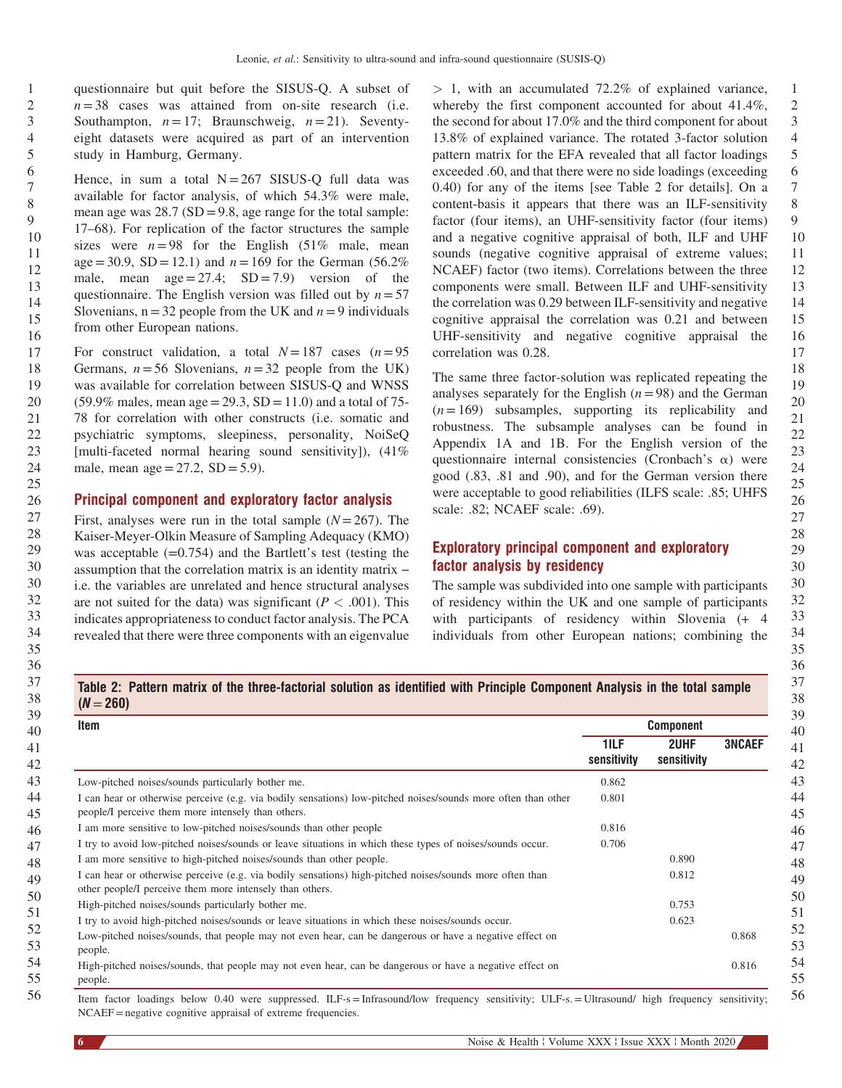questionnaire but quit before the SISUS-Q. A subset of  $n = 38$  cases was attained from on-site research (i.e. Southampton,  $n = 17$ ; Braunschweig,  $n = 21$ ). Seventyeight datasets were acquired as part of an intervention study in Hamburg, Germany.

Hence, in sum a total  $N = 267$  SISUS-Q full data was available for factor analysis, of which 54.3% were male, mean age was  $28.7$  (SD = 9.8, age range for the total sample: 17–68). For replication of the factor structures the sample sizes were  $n=98$  for the English (51% male, mean age = 30.9, SD = 12.1) and  $n = 169$  for the German (56.2%) male, mean  $age = 27.4$ ;  $SD = 7.9$  version of the questionnaire. The English version was filled out by  $n=57$ Slovenians,  $n=32$  people from the UK and  $n=9$  individuals from other European nations.

For construct validation, a total  $N=187$  cases  $(n=95)$ Germans,  $n=56$  Slovenians,  $n=32$  people from the UK) was available for correlation between SISUS-Q and WNSS  $(59.9\% \text{ males}, \text{mean age} = 29.3, SD = 11.0)$  and a total of 75-78 for correlation with other constructs (i.e. somatic and psychiatric symptoms, sleepiness, personality, NoiSeQ [multi-faceted normal hearing sound sensitivity]), (41% male, mean age =  $27.2$ , SD =  $5.9$ ).

#### Principal component and exploratory factor analysis

First, analyses were run in the total sample  $(N=267)$ . The Kaiser-Meyer-Olkin Measure of Sampling Adequacy (KMO) was acceptable  $(=0.754)$  and the Bartlett's test (testing the First, analyses were run in the total sample  $(N=267)$ . The Kaiser-Meyer-Olkin Measure of Sampling Adequacy (KMO) was acceptable  $(=0.754)$  and the Bartlett's test (testing the assumption that the correlation matrix is an i.e. the variables are unrelated and hence structural analyses are not suited for the data) was significant ( $P < .001$ ). This indicates appropriateness to conduct factor analysis. The PCA revealed that there were three components with an eigenvalue

1 2 3 4 5 6 7 8 9  $> 1$ , with an accumulated 72.2% of explained variance, whereby the first component accounted for about 41.4%, the second for about 17.0% and the third component for about 13.8% of explained variance. The rotated 3-factor solution pattern matrix for the EFA revealed that all factor loadings exceeded .60, and that there were no side loadings (exceeding 0.40) for any of the items [see Table 2 for details]. On a content-basis it appears that there was an ILF-sensitivity factor (four items), an UHF-sensitivity factor (four items) and a negative cognitive appraisal of both, ILF and UHF sounds (negative cognitive appraisal of extreme values; NCAEF) factor (two items). Correlations between the three components were small. Between ILF and UHF-sensitivity the correlation was 0.29 between ILF-sensitivity and negative cognitive appraisal the correlation was 0.21 and between UHF-sensitivity and negative cognitive appraisal the correlation was 0.28.

The same three factor-solution was replicated repeating the analyses separately for the English  $(n=98)$  and the German  $(n=169)$  subsamples, supporting its replicability and robustness. The subsample analyses can be found in Appendix 1A and 1B. For the English version of the questionnaire internal consistencies (Cronbach's  $\alpha$ ) were good (.83, .81 and .90), and for the German version there were acceptable to good reliabilities (ILFS scale: .85; UHFS scale: .82; NCAEF scale: .69).

### Exploratory principal component and exploratory factor analysis by residency

The sample was subdivided into one sample with participants of residency within the UK and one sample of participants with participants of residency within Slovenia (+ 4 individuals from other European nations; combining the

Table 2: Pattern matrix of the three-factorial solution as identified with Principle Component Analysis in the total sample

| Item                                                                                                                                                                 |                     | <b>Component</b>    |               |
|----------------------------------------------------------------------------------------------------------------------------------------------------------------------|---------------------|---------------------|---------------|
|                                                                                                                                                                      | 1ILF<br>sensitivity | 2UHF<br>sensitivity | <b>3NCAEF</b> |
| Low-pitched noises/sounds particularly bother me.                                                                                                                    | 0.862               |                     |               |
| I can hear or otherwise perceive (e.g. via bodily sensations) low-pitched noises/sounds more often than other<br>people/I perceive them more intensely than others.  | 0.801               |                     |               |
| I am more sensitive to low-pitched noises/sounds than other people                                                                                                   | 0.816               |                     |               |
| I try to avoid low-pitched noises/sounds or leave situations in which these types of noises/sounds occur.                                                            | 0.706               |                     |               |
| I am more sensitive to high-pitched noises/sounds than other people.                                                                                                 |                     | 0.890               |               |
| I can hear or otherwise perceive (e.g. via bodily sensations) high-pitched noises/sounds more often than<br>other people/I perceive them more intensely than others. |                     | 0.812               |               |
| High-pitched noises/sounds particularly bother me.                                                                                                                   |                     | 0.753               |               |
| I try to avoid high-pitched noises/sounds or leave situations in which these noises/sounds occur.                                                                    |                     | 0.623               |               |
| Low-pitched noises/sounds, that people may not even hear, can be dangerous or have a negative effect on<br>people.                                                   |                     |                     | 0.868         |
| High-pitched noises/sounds, that people may not even hear, can be dangerous or have a negative effect on<br>people.                                                  |                     |                     | 0.816         |

NCAEF=negative cognitive appraisal of extreme frequencies.

 $(M-260)$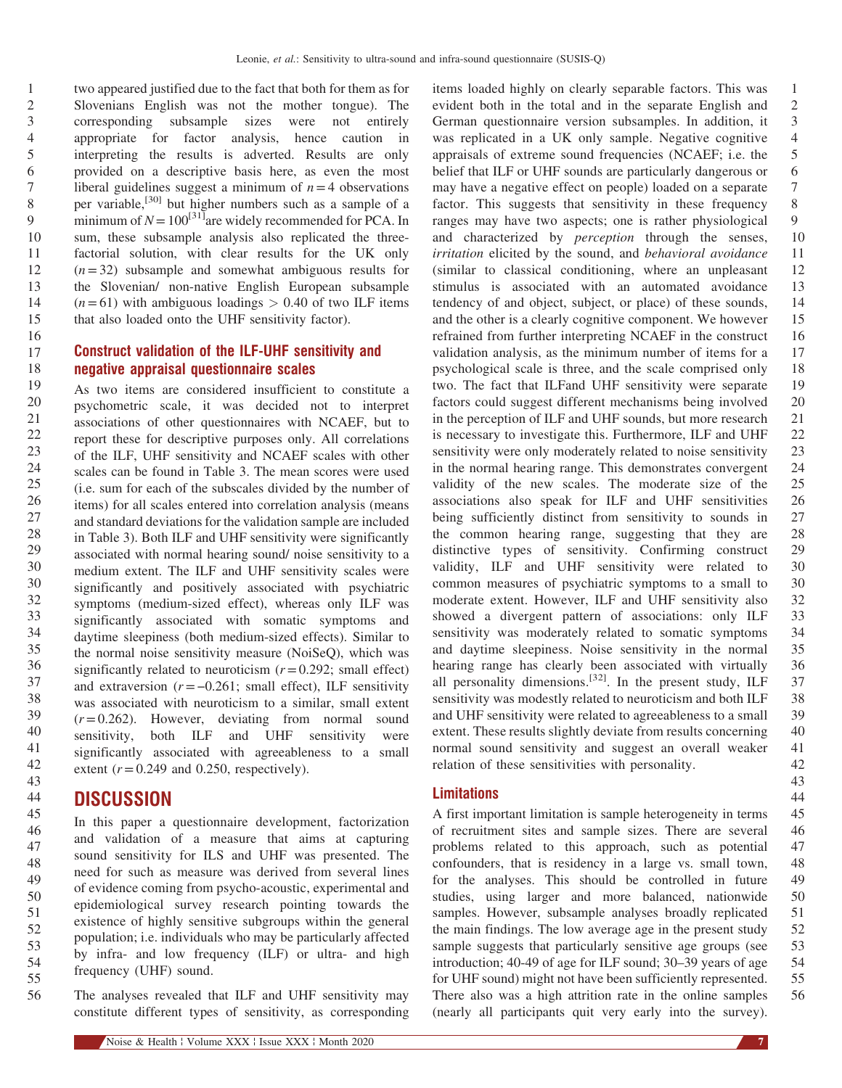two appeared justified due to the fact that both for them as for Slovenians English was not the mother tongue). The corresponding subsample sizes were not entirely appropriate for factor analysis, hence caution in interpreting the results is adverted. Results are only provided on a descriptive basis here, as even the most liberal guidelines suggest a minimum of  $n=4$  observations per variable,[30] [but higher numbers such as a sample of a](#page-9-0) minimum of  $N=100^{31}$  are widely recommended for PCA. In sum, these subsample analysis also replicated the threefactorial solution, with clear results for the UK only  $(n=32)$  subsample and somewhat ambiguous results for the Slovenian/ non-native English European subsample  $(n=61)$  with ambiguous loadings  $> 0.40$  of two ILF items that also loaded onto the UHF sensitivity factor).

### Construct validation of the ILF-UHF sensitivity and negative appraisal questionnaire scales

As two items are considered insufficient to constitute a psychometric scale, it was decided not to interpret associations of other questionnaires with NCAEF, but to report these for descriptive purposes only. All correlations of the ILF, UHF sensitivity and NCAEF scales with other scales can be found in [Table 3](#page-7-0). The mean scores were used (i.e. sum for each of the subscales divided by the number of items) for all scales entered into correlation analysis (means and standard deviations for the validation sample are included in [Table 3\)](#page-7-0). Both ILF and UHF sensitivity were significantly associated with normal hearing sound/ noise sensitivity to a medium extent. The ILF and UHF sensitivity scales were significantly and positively associated with psychiatric symptoms (medium-sized effect), whereas only ILF was significantly associated with somatic symptoms and daytime sleepiness (both medium-sized effects). Similar to the normal noise sensitivity measure (NoiSeQ), which was significantly related to neuroticism  $(r=0.292;$  small effect) daytime sleepiness (both medium-sized effects). Similar to<br>the normal noise sensitivity measure (NoiSeQ), which was<br>significantly related to neuroticism  $(r=0.292)$ ; small effect)<br>and extraversion  $(r=-0.261)$ ; small effect) was associated with neuroticism to a similar, small extent  $(r=0.262)$ . However, deviating from normal sound sensitivity, both ILF and UHF sensitivity were significantly associated with agreeableness to a small extent  $(r=0.249$  and 0.250, respectively).

## **DISCUSSION**

In this paper a questionnaire development, factorization and validation of a measure that aims at capturing sound sensitivity for ILS and UHF was presented. The need for such as measure was derived from several lines of evidence coming from psycho-acoustic, experimental and epidemiological survey research pointing towards the existence of highly sensitive subgroups within the general population; i.e. individuals who may be particularly affected by infra- and low frequency (ILF) or ultra- and high frequency (UHF) sound.

The analyses revealed that ILF and UHF sensitivity may constitute different types of sensitivity, as corresponding

1 2 3 4 5 6 7 8 9 10 11 12 13 14 15 16 17 18 19 20 21 22 23 24 25 26 27 28 29 30 30 32 33 34 35 36 37 38 39 40 41 42 items loaded highly on clearly separable factors. This was evident both in the total and in the separate English and German questionnaire version subsamples. In addition, it was replicated in a UK only sample. Negative cognitive appraisals of extreme sound frequencies (NCAEF; i.e. the belief that ILF or UHF sounds are particularly dangerous or may have a negative effect on people) loaded on a separate factor. This suggests that sensitivity in these frequency ranges may have two aspects; one is rather physiological and characterized by perception through the senses, irritation elicited by the sound, and behavioral avoidance (similar to classical conditioning, where an unpleasant stimulus is associated with an automated avoidance tendency of and object, subject, or place) of these sounds, and the other is a clearly cognitive component. We however refrained from further interpreting NCAEF in the construct validation analysis, as the minimum number of items for a psychological scale is three, and the scale comprised only two. The fact that ILFand UHF sensitivity were separate factors could suggest different mechanisms being involved in the perception of ILF and UHF sounds, but more research is necessary to investigate this. Furthermore, ILF and UHF sensitivity were only moderately related to noise sensitivity in the normal hearing range. This demonstrates convergent validity of the new scales. The moderate size of the associations also speak for ILF and UHF sensitivities being sufficiently distinct from sensitivity to sounds in the common hearing range, suggesting that they are distinctive types of sensitivity. Confirming construct validity, ILF and UHF sensitivity were related to common measures of psychiatric symptoms to a small to moderate extent. However, ILF and UHF sensitivity also showed a divergent pattern of associations: only ILF sensitivity was moderately related to somatic symptoms and daytime sleepiness. Noise sensitivity in the normal hearing range has clearly been associated with virtually all personality dimensions.<sup>[32]</sup>. In the present study, ILF sensitivity was modestly related to neuroticism and both ILF and UHF sensitivity were related to agreeableness to a small extent. These results slightly deviate from results concerning normal sound sensitivity and suggest an overall weaker relation of these sensitivities with personality.

#### **Limitations**

45 46 47 48 49 50 51 52 53 54 55 56 A first important limitation is sample heterogeneity in terms of recruitment sites and sample sizes. There are several problems related to this approach, such as potential confounders, that is residency in a large vs. small town, for the analyses. This should be controlled in future studies, using larger and more balanced, nationwide samples. However, subsample analyses broadly replicated the main findings. The low average age in the present study sample suggests that particularly sensitive age groups (see introduction; 40-49 of age for ILF sound; 30–39 years of age for UHF sound) might not have been sufficiently represented. There also was a high attrition rate in the online samples (nearly all participants quit very early into the survey).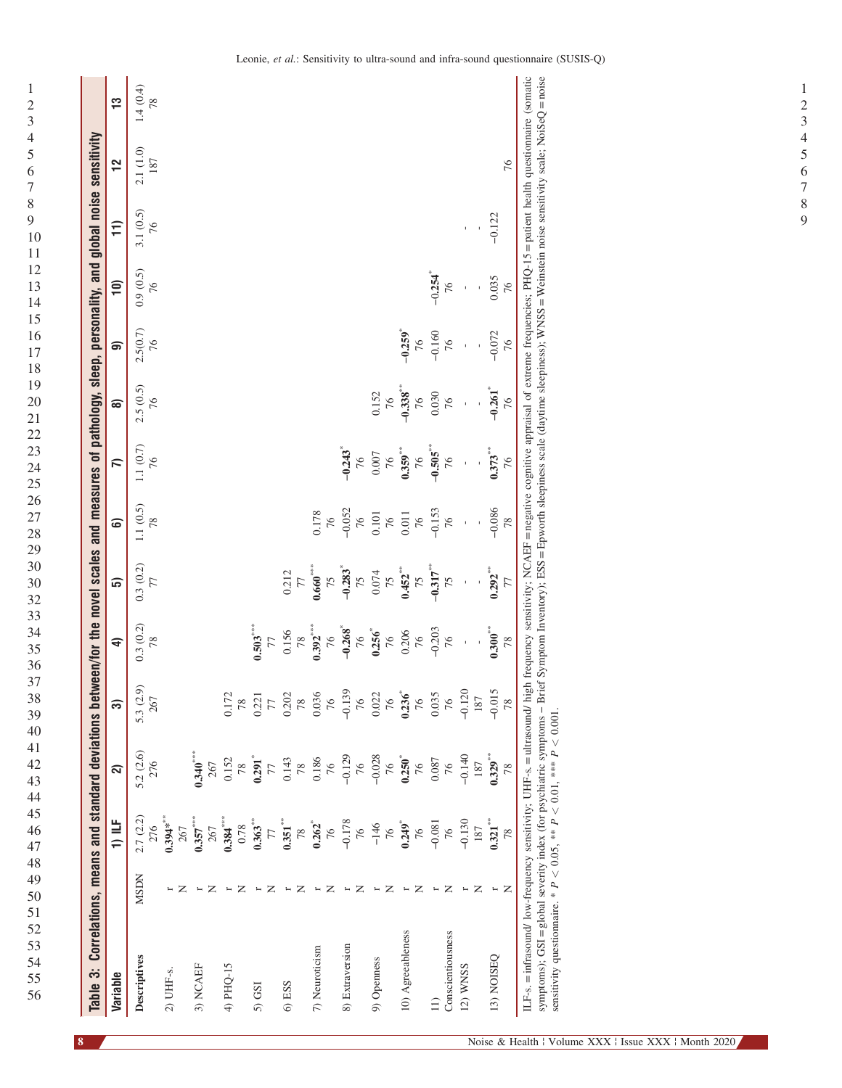| 1                                         |  |
|-------------------------------------------|--|
| $\overline{2}$                            |  |
| 3                                         |  |
| 4                                         |  |
| 5                                         |  |
| 6                                         |  |
|                                           |  |
| 8                                         |  |
| 9                                         |  |
|                                           |  |
| 10                                        |  |
| $\mathbf{1}$<br>1                         |  |
| $\mathbf 1$<br>$\overline{c}$             |  |
| $\mathbf 1$<br>3                          |  |
| 14                                        |  |
| 5<br>$\mathbf{1}$                         |  |
| 16                                        |  |
| 7<br>$\mathbf 1$                          |  |
| 18                                        |  |
| 19                                        |  |
| $\overline{20}$                           |  |
| $\overline{21}$                           |  |
| $\overline{c}$<br>$\overline{c}$          |  |
| $\overline{2}$<br>$\overline{\mathbf{3}}$ |  |
| $^{24}$                                   |  |
|                                           |  |
| 25                                        |  |
| 26                                        |  |
| 7<br>$\overline{c}$                       |  |
| 28                                        |  |
| 29                                        |  |
| $30^{\circ}$                              |  |
| $30^{\circ}$                              |  |
| $\overline{3}$<br>$\overline{2}$          |  |
| 33                                        |  |
| 34                                        |  |
| 35                                        |  |
| 36                                        |  |
| 37                                        |  |
| .<br>38                                   |  |
|                                           |  |
| 39                                        |  |
| 40                                        |  |
| 41                                        |  |
| $\overline{c}$<br>$\overline{4}$          |  |
| 43                                        |  |
| 44                                        |  |
| 45                                        |  |
| 46                                        |  |
| 47                                        |  |
| 48                                        |  |
| 49                                        |  |
| 50                                        |  |
| 51                                        |  |
| 52                                        |  |
|                                           |  |
| 53                                        |  |
| 54                                        |  |
| 55                                        |  |
| 56                                        |  |

<span id="page-7-0"></span> $\,1\,$ 

| Table 3: Correlations, means and standard deviations between/for the novel scales and measures of pathology, sleep, personality, and global noise sensitivity                                                                                                                                                                                                                                                                                                                                             |               |                              |                            |                   |                                               |                             |                   |                              |                             |                  |                             |                  |                   |                |
|-----------------------------------------------------------------------------------------------------------------------------------------------------------------------------------------------------------------------------------------------------------------------------------------------------------------------------------------------------------------------------------------------------------------------------------------------------------------------------------------------------------|---------------|------------------------------|----------------------------|-------------------|-----------------------------------------------|-----------------------------|-------------------|------------------------------|-----------------------------|------------------|-----------------------------|------------------|-------------------|----------------|
| Variable                                                                                                                                                                                                                                                                                                                                                                                                                                                                                                  |               | $1)$ ILF                     | ล                          | ణ                 | €                                             | ລົ                          | ටෙ                | $\overline{\mathsf{r}}$      | බ                           | െ                | $\widehat{=}$               | $\widehat{11}$   | $\frac{1}{2}$     | <u>က</u>       |
| Descriptives                                                                                                                                                                                                                                                                                                                                                                                                                                                                                              | <b>MSDN</b>   | 2.7 (2.2)<br>276             | 5.2 (2.6)<br>276           | 5.3 (2.9)<br>267  | $\begin{array}{c} 0.3\;(0.2)\\78 \end{array}$ | 0.3(0.2)                    | 1.1 $(0.5)$<br>78 | 1.1 $(0.7)$<br>76            | $2.5(0.5)$<br>76            | $2.5(0.7)$<br>76 | 0.9(0.5)<br>76              | $3.1(0.5)$<br>76 | $2.1(1.0)$<br>187 | 1.4(0.4)<br>78 |
| 2) UHF-s.                                                                                                                                                                                                                                                                                                                                                                                                                                                                                                 | z             | $0.394**$<br>267             |                            |                   |                                               |                             |                   |                              |                             |                  |                             |                  |                   |                |
| 3) NCAEF                                                                                                                                                                                                                                                                                                                                                                                                                                                                                                  | z             | $0.357***$<br>267            | $0.340***$<br>267          |                   |                                               |                             |                   |                              |                             |                  |                             |                  |                   |                |
| 4) PHQ-15                                                                                                                                                                                                                                                                                                                                                                                                                                                                                                 | z             | $0.384***$<br>0.78           | 0.152<br>78                | 0.172<br>78       |                                               |                             |                   |                              |                             |                  |                             |                  |                   |                |
| 5) GSI                                                                                                                                                                                                                                                                                                                                                                                                                                                                                                    | z<br>Н        | $0.363***$<br>77             | $0.291$ <sup>*</sup><br>77 | 0.221<br>77       | $0.503***$<br>77                              |                             |                   |                              |                             |                  |                             |                  |                   |                |
| 6) ESS                                                                                                                                                                                                                                                                                                                                                                                                                                                                                                    | z             | $0.351$ <sup>***</sup><br>78 | 0.143<br>78                | 0.202<br>78       | 0.156<br>$78$                                 | 0.212<br>77                 |                   |                              |                             |                  |                             |                  |                   |                |
| 7) Neuroticism                                                                                                                                                                                                                                                                                                                                                                                                                                                                                            | z<br>H        | 0.262<br>76                  | 0.186<br>76                | 0.036<br>76       | $0.392***$<br>76                              | $0.660***$<br>75            | 0.178<br>76       |                              |                             |                  |                             |                  |                   |                |
| 8) Extraversion                                                                                                                                                                                                                                                                                                                                                                                                                                                                                           | z<br>Н        | $-0.178$<br>76               | $-0.129$<br>76             | $-0.139$<br>76    | $-0.268$<br>$\overline{76}$                   | $-0.283$ <sup>*</sup><br>75 | $-0.052$<br>76    | $-0.243$ <sup>*</sup><br>76  |                             |                  |                             |                  |                   |                |
| 9) Openness                                                                                                                                                                                                                                                                                                                                                                                                                                                                                               | z             | $-146$<br>76                 | $-0.028$<br>76             | 0.022<br>76       | $0.256$ <sup>*</sup><br>76                    | 0.074<br>75                 | $0.101\,$<br>76   | 0.007<br>76                  | 0.152<br>76                 |                  |                             |                  |                   |                |
| 10) Agreeableness                                                                                                                                                                                                                                                                                                                                                                                                                                                                                         | Z             | $0.249$ <sup>*</sup><br>76   | $0.250^{*}$<br>76          | $0.236^{*}$<br>76 | 0.206<br>76                                   | 0.452<br>75                 | $0.011\,$<br>$76$ | $0.359***$<br>76             | $-0.338^{***}$<br>76        | $-0.259$<br>76   |                             |                  |                   |                |
| Conscientiousness<br>$\Xi$                                                                                                                                                                                                                                                                                                                                                                                                                                                                                | z<br>$\vdash$ | $-0.081$<br>76               | 0.087<br>76                | 0.035<br>76       | $-0.203$<br>76                                | $-0.317***$<br>75           | $-0.153$<br>76    | $-0.505$ <sup>**</sup><br>76 | 0.030<br>76                 | $-0.160$<br>76   | $-0.254$ <sup>*</sup><br>76 |                  |                   |                |
| 12) WNSS                                                                                                                                                                                                                                                                                                                                                                                                                                                                                                  | z<br>H        | $-0.130$<br>187              | $-0.140$<br>187            | $-0.120$<br>187   | ï                                             |                             |                   |                              | ï                           | ï                |                             |                  |                   |                |
| 13) NOISEQ                                                                                                                                                                                                                                                                                                                                                                                                                                                                                                | z             | $0.321***$<br>78             | $0.329***$<br>78           | $-0.015$<br>78    | $0.300***$<br>78                              | $0.292***$<br>77            | $-0.086$<br>78    | $0.373***$<br>76             | $-0.261$ <sup>*</sup><br>76 | $-0.072$<br>76   | 0.035<br>76                 | $-0.122$         | 76                |                |
| ILF-s. = infrasound/ low-frequency sensitivity; UHF-s. = ultrasound/ high frequency sensitivity; NCAEF = negative cognitive appraisal of extreme frequencies; PHQ-15 = patient health questionnaire (somatic<br>symptoms); GSI = global severity index (for psychiatric symptoms - Brief Symptom Inventory); ESS = Epworth sleepiness scale (daytime sleepiness); WNSS = Weinstein noise sensitivity scale; NoiSeQ = noise<br>sensitivity questionnaire. * $P < 0.05$ , ** $P < 0.01$ , *** $P < 0.001$ . |               |                              |                            |                   |                                               |                             |                   |                              |                             |                  |                             |                  |                   |                |

 $\overline{9}$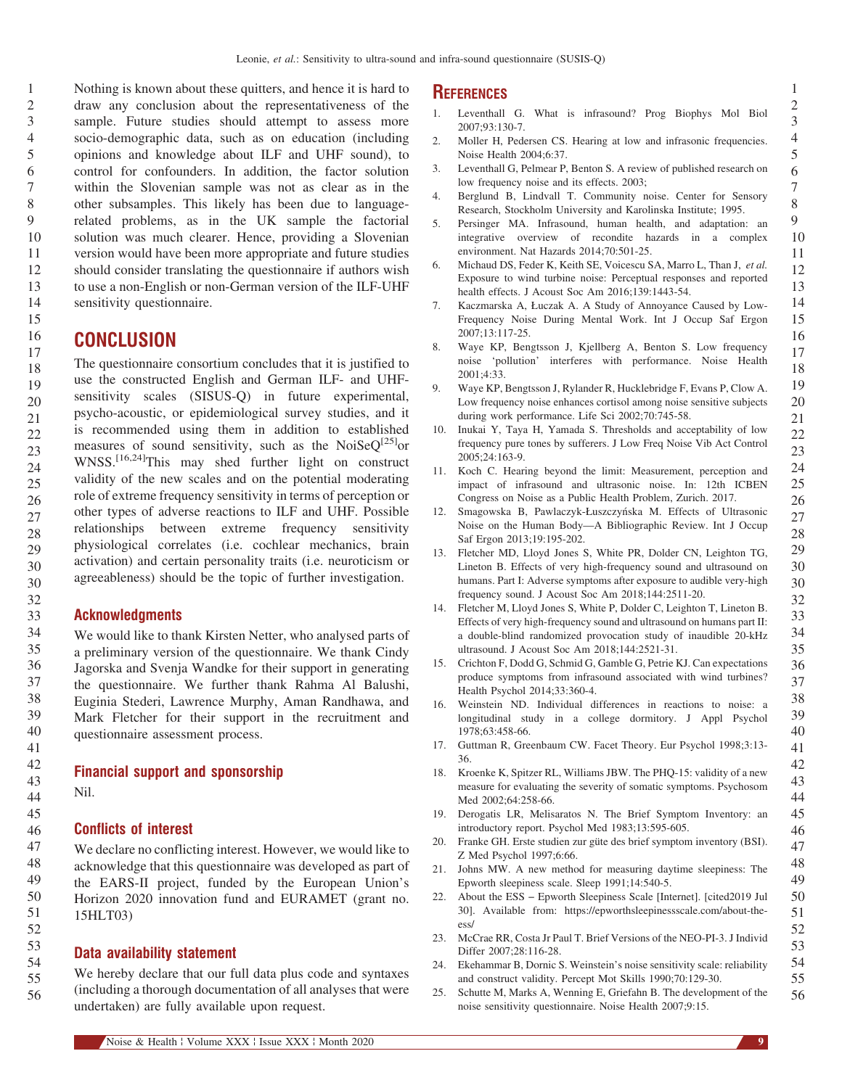<span id="page-8-0"></span>Nothing is known about these quitters, and hence it is hard to draw any conclusion about the representativeness of the sample. Future studies should attempt to assess more socio-demographic data, such as on education (including opinions and knowledge about ILF and UHF sound), to control for confounders. In addition, the factor solution within the Slovenian sample was not as clear as in the other subsamples. This likely has been due to languagerelated problems, as in the UK sample the factorial solution was much clearer. Hence, providing a Slovenian version would have been more appropriate and future studies should consider translating the questionnaire if authors wish to use a non-English or non-German version of the ILF-UHF sensitivity questionnaire.

## **CONCLUSION**

The questionnaire consortium concludes that it is justified to use the constructed English and German ILF- and UHFsensitivity scales (SISUS-Q) in future experimental, psycho-acoustic, or epidemiological survey studies, and it is recommended using them in addition to established measures of sound sensitivity, such as the NoiSe $Q^{[25]}$ or WNSS.<sup>[16,24]</sup>This may shed further light on construct validity of the new scales and on the potential moderating role of extreme frequency sensitivity in terms of perception or other types of adverse reactions to ILF and UHF. Possible relationships between extreme frequency sensitivity physiological correlates (i.e. cochlear mechanics, brain activation) and certain personality traits (i.e. neuroticism or agreeableness) should be the topic of further investigation.

#### Acknowledgments

We would like to thank Kirsten Netter, who analysed parts of a preliminary version of the questionnaire. We thank Cindy Jagorska and Svenja Wandke for their support in generating the questionnaire. We further thank Rahma Al Balushi, Euginia Stederi, Lawrence Murphy, Aman Randhawa, and Mark Fletcher for their support in the recruitment and questionnaire assessment process.

#### Financial support and sponsorship

Nil.

#### Conflicts of interest

We declare no conflicting interest. However, we would like to acknowledge that this questionnaire was developed as part of the EARS-II project, funded by the European Union's Horizon 2020 innovation fund and EURAMET (grant no. 15HLT03)

#### Data availability statement

We hereby declare that our full data plus code and syntaxes (including a thorough documentation of all analyses that were undertaken) are fully available upon request.

#### **REFERENCES**

- 1. Leventhall G. What is infrasound? Prog Biophys Mol Biol 2007;93:130-7.
- 2. Moller H, Pedersen CS. Hearing at low and infrasonic frequencies. Noise Health 2004;6:37.
- 3. Leventhall G, Pelmear P, Benton S. A review of published research on low frequency noise and its effects. 2003;
- 4. Berglund B, Lindvall T. Community noise. Center for Sensory Research, Stockholm University and Karolinska Institute; 1995.
- 5. Persinger MA. Infrasound, human health, and adaptation: an integrative overview of recondite hazards in a complex environment. Nat Hazards 2014;70:501-25.
- 6. Michaud DS, Feder K, Keith SE, Voicescu SA, Marro L, Than J, et al. Exposure to wind turbine noise: Perceptual responses and reported health effects. J Acoust Soc Am 2016;139:1443-54.
- 7. Kaczmarska A, Łuczak A. A Study of Annoyance Caused by Low-Frequency Noise During Mental Work. Int J Occup Saf Ergon 2007;13:117-25.
- 8. Waye KP, Bengtsson J, Kjellberg A, Benton S. Low frequency noise 'pollution' interferes with performance. Noise Health  $2001:4:33$
- 9. Waye KP, Bengtsson J, Rylander R, Hucklebridge F, Evans P, Clow A. Low frequency noise enhances cortisol among noise sensitive subjects during work performance. Life Sci 2002;70:745-58.
- 10. Inukai Y, Taya H, Yamada S. Thresholds and acceptability of low frequency pure tones by sufferers. J Low Freq Noise Vib Act Control 2005;24:163-9.
- 11. Koch C. Hearing beyond the limit: Measurement, perception and impact of infrasound and ultrasonic noise. In: 12th ICBEN Congress on Noise as a Public Health Problem, Zurich. 2017.
- 12. Smagowska B, Pawlaczyk-Łuszczyńska M. Effects of Ultrasonic Noise on the Human Body—A Bibliographic Review. Int J Occup Saf Ergon 2013;19:195-202.
- 13. Fletcher MD, Lloyd Jones S, White PR, Dolder CN, Leighton TG, Lineton B. Effects of very high-frequency sound and ultrasound on humans. Part I: Adverse symptoms after exposure to audible very-high frequency sound. J Acoust Soc Am 2018;144:2511-20.
- 14. Fletcher M, Lloyd Jones S, White P, Dolder C, Leighton T, Lineton B. Effects of very high-frequency sound and ultrasound on humans part II: a double-blind randomized provocation study of inaudible 20-kHz ultrasound. J Acoust Soc Am 2018;144:2521-31.
- 15. Crichton F, Dodd G, Schmid G, Gamble G, Petrie KJ. Can expectations produce symptoms from infrasound associated with wind turbines? Health Psychol 2014;33:360-4.
- 16. Weinstein ND. Individual differences in reactions to noise: a longitudinal study in a college dormitory. J Appl Psychol 1978;63:458-66.
- 17. Guttman R, Greenbaum CW. Facet Theory. Eur Psychol 1998;3:13- 36.
- 18. Kroenke K, Spitzer RL, Williams JBW. The PHQ-15: validity of a new measure for evaluating the severity of somatic symptoms. Psychosom Med 2002;64:258-66.
- 19. Derogatis LR, Melisaratos N. The Brief Symptom Inventory: an introductory report. Psychol Med 1983;13:595-605.
- 20. Franke GH. Erste studien zur güte des brief symptom inventory (BSI). Z Med Psychol 1997;6:66.
- 21. Johns MW. A new method for measuring daytime sleepiness: The Epworth sleepiness scale. Sleep 1991;14:540-5.
- 22. About the ESS <sup>−</sup> Epworth Sleepiness Scale [Internet]. [cited2019 Jul 30]. Available from: [https://epworthsleepinessscale.com/about-the](https://epworthsleepinessscale.com/about-the-ess/)[ess/](https://epworthsleepinessscale.com/about-the-ess/)
- 23. McCrae RR, Costa Jr Paul T. Brief Versions of the NEO-PI-3. J Individ Differ 2007;28:116-28.
- 24. Ekehammar B, Dornic S. Weinstein's noise sensitivity scale: reliability and construct validity. Percept Mot Skills 1990;70:129-30.
- 25. Schutte M, Marks A, Wenning E, Griefahn B. The development of the noise sensitivity questionnaire. Noise Health 2007;9:15.